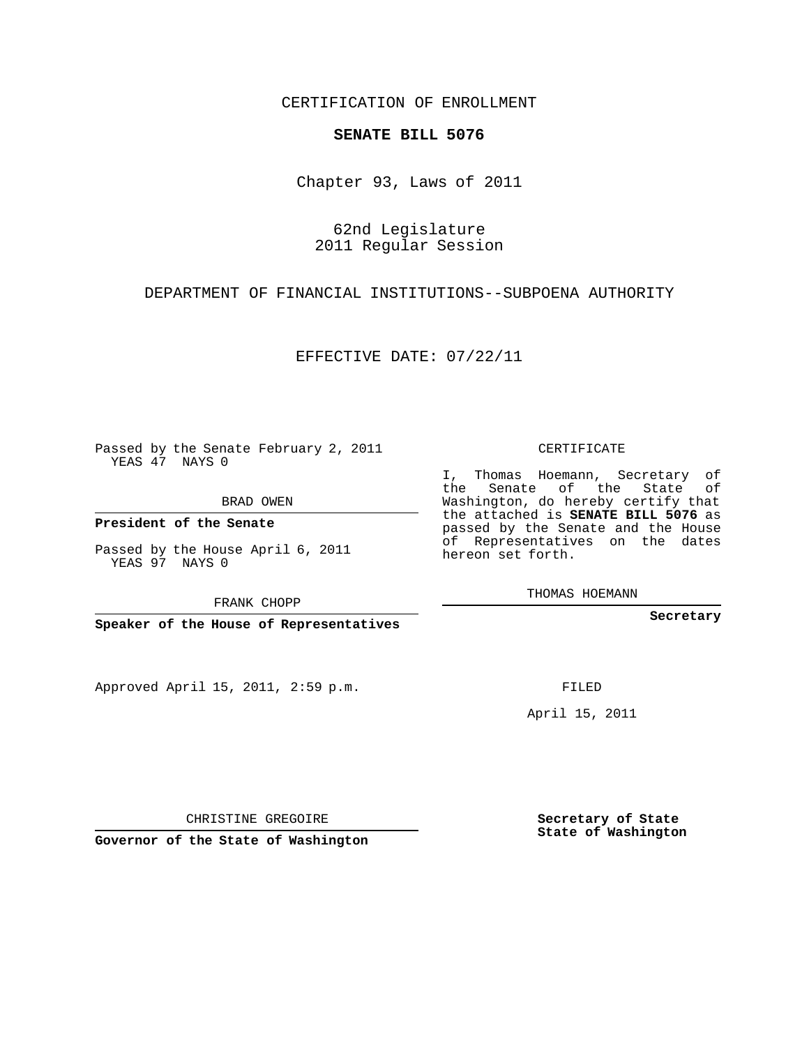CERTIFICATION OF ENROLLMENT

## **SENATE BILL 5076**

Chapter 93, Laws of 2011

62nd Legislature 2011 Regular Session

DEPARTMENT OF FINANCIAL INSTITUTIONS--SUBPOENA AUTHORITY

EFFECTIVE DATE: 07/22/11

Passed by the Senate February 2, 2011 YEAS 47 NAYS 0

BRAD OWEN

**President of the Senate**

Passed by the House April 6, 2011 YEAS 97 NAYS 0

FRANK CHOPP

**Speaker of the House of Representatives**

Approved April 15, 2011, 2:59 p.m.

CERTIFICATE

I, Thomas Hoemann, Secretary of the Senate of the State of Washington, do hereby certify that the attached is **SENATE BILL 5076** as passed by the Senate and the House of Representatives on the dates hereon set forth.

THOMAS HOEMANN

**Secretary**

FILED

April 15, 2011

**Secretary of State State of Washington**

CHRISTINE GREGOIRE

**Governor of the State of Washington**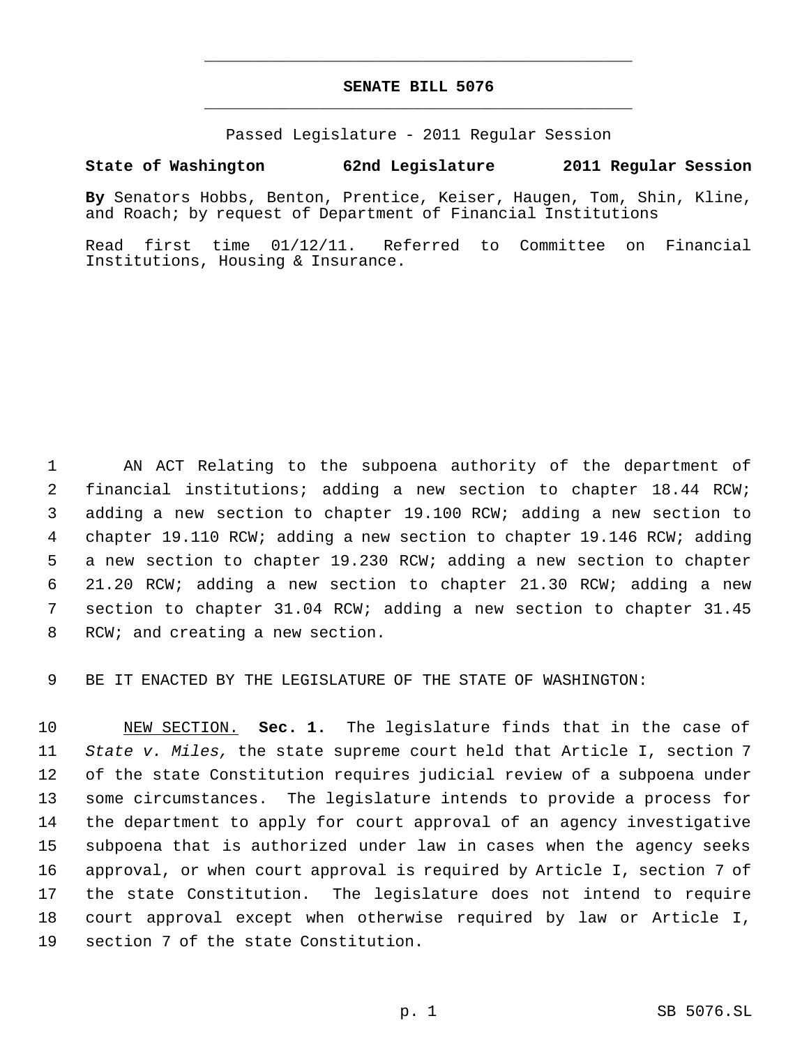## **SENATE BILL 5076** \_\_\_\_\_\_\_\_\_\_\_\_\_\_\_\_\_\_\_\_\_\_\_\_\_\_\_\_\_\_\_\_\_\_\_\_\_\_\_\_\_\_\_\_\_

\_\_\_\_\_\_\_\_\_\_\_\_\_\_\_\_\_\_\_\_\_\_\_\_\_\_\_\_\_\_\_\_\_\_\_\_\_\_\_\_\_\_\_\_\_

Passed Legislature - 2011 Regular Session

## **State of Washington 62nd Legislature 2011 Regular Session**

**By** Senators Hobbs, Benton, Prentice, Keiser, Haugen, Tom, Shin, Kline, and Roach; by request of Department of Financial Institutions

Read first time 01/12/11. Referred to Committee on Financial Institutions, Housing & Insurance.

 AN ACT Relating to the subpoena authority of the department of financial institutions; adding a new section to chapter 18.44 RCW; adding a new section to chapter 19.100 RCW; adding a new section to chapter 19.110 RCW; adding a new section to chapter 19.146 RCW; adding a new section to chapter 19.230 RCW; adding a new section to chapter 21.20 RCW; adding a new section to chapter 21.30 RCW; adding a new section to chapter 31.04 RCW; adding a new section to chapter 31.45 RCW; and creating a new section.

BE IT ENACTED BY THE LEGISLATURE OF THE STATE OF WASHINGTON:

 NEW SECTION. **Sec. 1.** The legislature finds that in the case of *State v. Miles,* the state supreme court held that Article I, section 7 of the state Constitution requires judicial review of a subpoena under some circumstances. The legislature intends to provide a process for the department to apply for court approval of an agency investigative subpoena that is authorized under law in cases when the agency seeks approval, or when court approval is required by Article I, section 7 of the state Constitution. The legislature does not intend to require court approval except when otherwise required by law or Article I, section 7 of the state Constitution.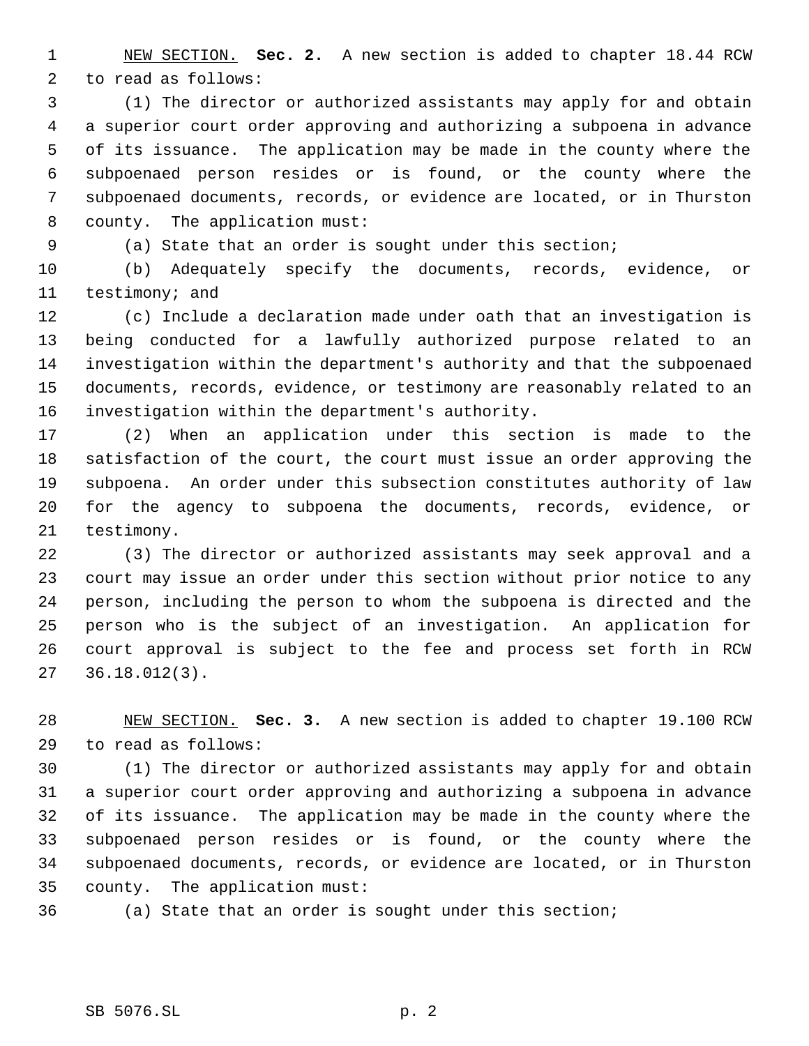NEW SECTION. **Sec. 2.** A new section is added to chapter 18.44 RCW to read as follows:

 (1) The director or authorized assistants may apply for and obtain a superior court order approving and authorizing a subpoena in advance of its issuance. The application may be made in the county where the subpoenaed person resides or is found, or the county where the subpoenaed documents, records, or evidence are located, or in Thurston county. The application must:

(a) State that an order is sought under this section;

 (b) Adequately specify the documents, records, evidence, or testimony; and

 (c) Include a declaration made under oath that an investigation is being conducted for a lawfully authorized purpose related to an investigation within the department's authority and that the subpoenaed documents, records, evidence, or testimony are reasonably related to an investigation within the department's authority.

 (2) When an application under this section is made to the satisfaction of the court, the court must issue an order approving the subpoena. An order under this subsection constitutes authority of law for the agency to subpoena the documents, records, evidence, or testimony.

 (3) The director or authorized assistants may seek approval and a court may issue an order under this section without prior notice to any person, including the person to whom the subpoena is directed and the person who is the subject of an investigation. An application for court approval is subject to the fee and process set forth in RCW 36.18.012(3).

 NEW SECTION. **Sec. 3.** A new section is added to chapter 19.100 RCW to read as follows:

 (1) The director or authorized assistants may apply for and obtain a superior court order approving and authorizing a subpoena in advance of its issuance. The application may be made in the county where the subpoenaed person resides or is found, or the county where the subpoenaed documents, records, or evidence are located, or in Thurston county. The application must:

(a) State that an order is sought under this section;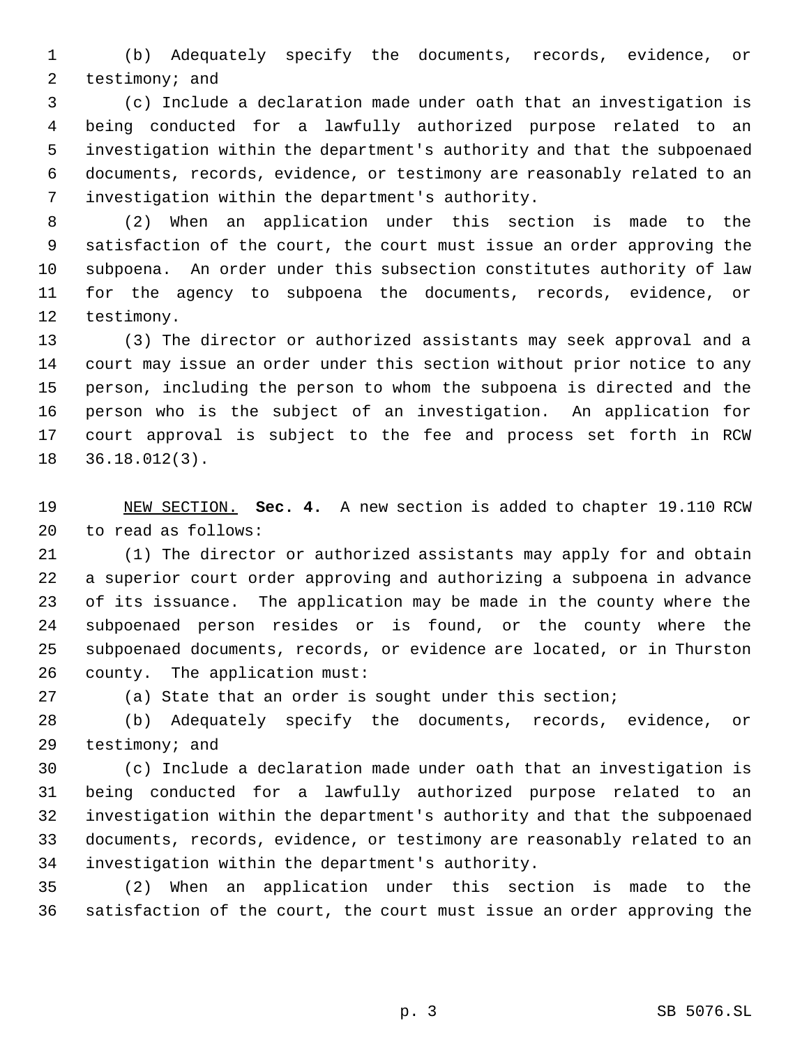(b) Adequately specify the documents, records, evidence, or testimony; and

 (c) Include a declaration made under oath that an investigation is being conducted for a lawfully authorized purpose related to an investigation within the department's authority and that the subpoenaed documents, records, evidence, or testimony are reasonably related to an investigation within the department's authority.

 (2) When an application under this section is made to the satisfaction of the court, the court must issue an order approving the subpoena. An order under this subsection constitutes authority of law for the agency to subpoena the documents, records, evidence, or testimony.

 (3) The director or authorized assistants may seek approval and a court may issue an order under this section without prior notice to any person, including the person to whom the subpoena is directed and the person who is the subject of an investigation. An application for court approval is subject to the fee and process set forth in RCW 36.18.012(3).

 NEW SECTION. **Sec. 4.** A new section is added to chapter 19.110 RCW to read as follows:

 (1) The director or authorized assistants may apply for and obtain a superior court order approving and authorizing a subpoena in advance of its issuance. The application may be made in the county where the subpoenaed person resides or is found, or the county where the subpoenaed documents, records, or evidence are located, or in Thurston county. The application must:

(a) State that an order is sought under this section;

 (b) Adequately specify the documents, records, evidence, or testimony; and

 (c) Include a declaration made under oath that an investigation is being conducted for a lawfully authorized purpose related to an investigation within the department's authority and that the subpoenaed documents, records, evidence, or testimony are reasonably related to an investigation within the department's authority.

 (2) When an application under this section is made to the satisfaction of the court, the court must issue an order approving the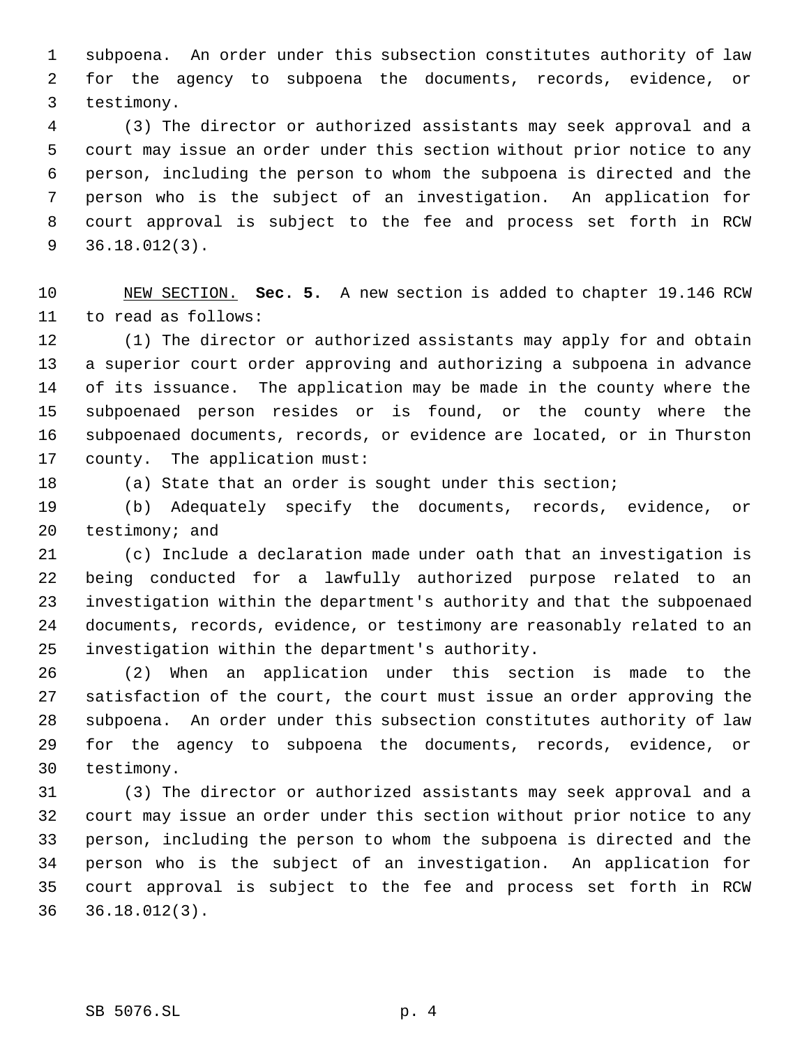subpoena. An order under this subsection constitutes authority of law for the agency to subpoena the documents, records, evidence, or testimony.

 (3) The director or authorized assistants may seek approval and a court may issue an order under this section without prior notice to any person, including the person to whom the subpoena is directed and the person who is the subject of an investigation. An application for court approval is subject to the fee and process set forth in RCW 36.18.012(3).

 NEW SECTION. **Sec. 5.** A new section is added to chapter 19.146 RCW to read as follows:

 (1) The director or authorized assistants may apply for and obtain a superior court order approving and authorizing a subpoena in advance of its issuance. The application may be made in the county where the subpoenaed person resides or is found, or the county where the subpoenaed documents, records, or evidence are located, or in Thurston county. The application must:

(a) State that an order is sought under this section;

 (b) Adequately specify the documents, records, evidence, or testimony; and

 (c) Include a declaration made under oath that an investigation is being conducted for a lawfully authorized purpose related to an investigation within the department's authority and that the subpoenaed documents, records, evidence, or testimony are reasonably related to an investigation within the department's authority.

 (2) When an application under this section is made to the satisfaction of the court, the court must issue an order approving the subpoena. An order under this subsection constitutes authority of law for the agency to subpoena the documents, records, evidence, or testimony.

 (3) The director or authorized assistants may seek approval and a court may issue an order under this section without prior notice to any person, including the person to whom the subpoena is directed and the person who is the subject of an investigation. An application for court approval is subject to the fee and process set forth in RCW 36.18.012(3).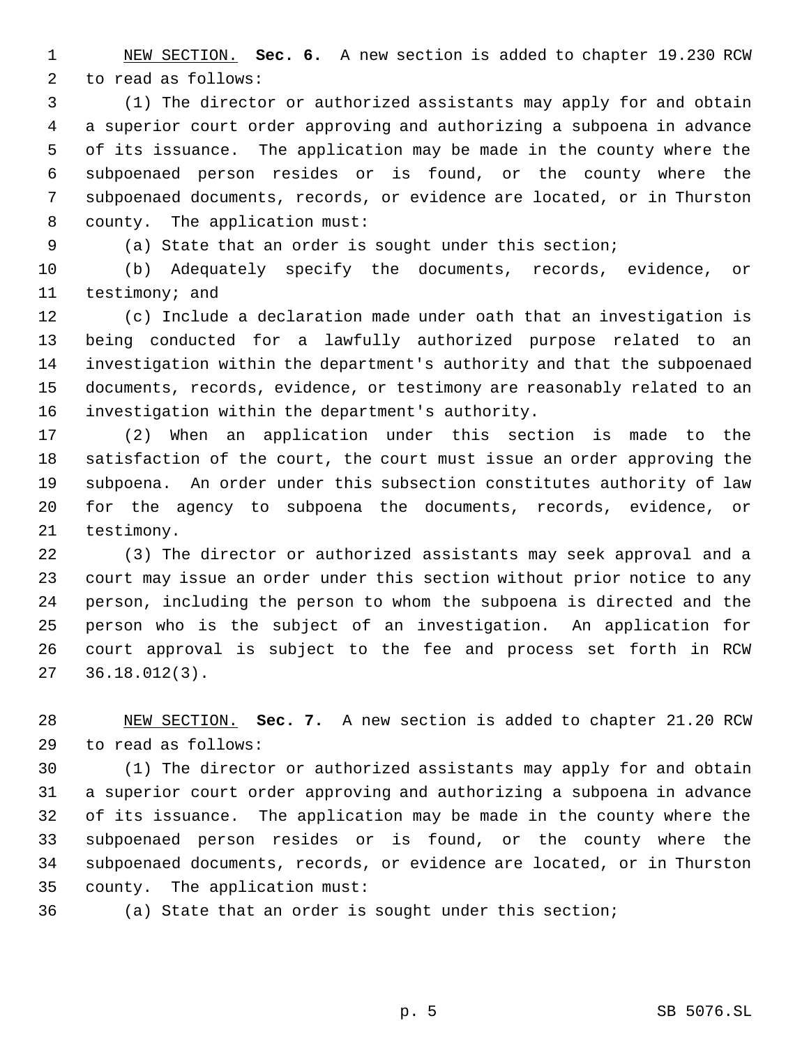NEW SECTION. **Sec. 6.** A new section is added to chapter 19.230 RCW to read as follows:

 (1) The director or authorized assistants may apply for and obtain a superior court order approving and authorizing a subpoena in advance of its issuance. The application may be made in the county where the subpoenaed person resides or is found, or the county where the subpoenaed documents, records, or evidence are located, or in Thurston county. The application must:

(a) State that an order is sought under this section;

 (b) Adequately specify the documents, records, evidence, or testimony; and

 (c) Include a declaration made under oath that an investigation is being conducted for a lawfully authorized purpose related to an investigation within the department's authority and that the subpoenaed documents, records, evidence, or testimony are reasonably related to an investigation within the department's authority.

 (2) When an application under this section is made to the satisfaction of the court, the court must issue an order approving the subpoena. An order under this subsection constitutes authority of law for the agency to subpoena the documents, records, evidence, or testimony.

 (3) The director or authorized assistants may seek approval and a court may issue an order under this section without prior notice to any person, including the person to whom the subpoena is directed and the person who is the subject of an investigation. An application for court approval is subject to the fee and process set forth in RCW 36.18.012(3).

 NEW SECTION. **Sec. 7.** A new section is added to chapter 21.20 RCW to read as follows:

 (1) The director or authorized assistants may apply for and obtain a superior court order approving and authorizing a subpoena in advance of its issuance. The application may be made in the county where the subpoenaed person resides or is found, or the county where the subpoenaed documents, records, or evidence are located, or in Thurston county. The application must:

(a) State that an order is sought under this section;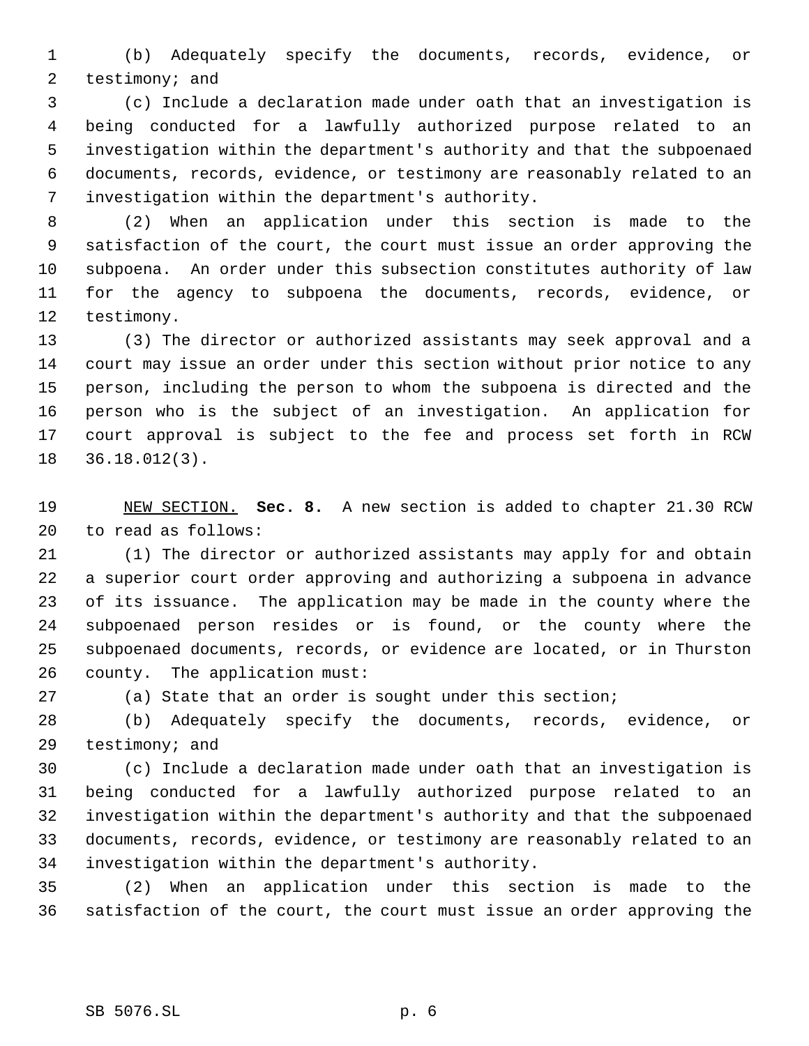(b) Adequately specify the documents, records, evidence, or testimony; and

 (c) Include a declaration made under oath that an investigation is being conducted for a lawfully authorized purpose related to an investigation within the department's authority and that the subpoenaed documents, records, evidence, or testimony are reasonably related to an investigation within the department's authority.

 (2) When an application under this section is made to the satisfaction of the court, the court must issue an order approving the subpoena. An order under this subsection constitutes authority of law for the agency to subpoena the documents, records, evidence, or testimony.

 (3) The director or authorized assistants may seek approval and a court may issue an order under this section without prior notice to any person, including the person to whom the subpoena is directed and the person who is the subject of an investigation. An application for court approval is subject to the fee and process set forth in RCW 36.18.012(3).

 NEW SECTION. **Sec. 8.** A new section is added to chapter 21.30 RCW to read as follows:

 (1) The director or authorized assistants may apply for and obtain a superior court order approving and authorizing a subpoena in advance of its issuance. The application may be made in the county where the subpoenaed person resides or is found, or the county where the subpoenaed documents, records, or evidence are located, or in Thurston county. The application must:

(a) State that an order is sought under this section;

 (b) Adequately specify the documents, records, evidence, or testimony; and

 (c) Include a declaration made under oath that an investigation is being conducted for a lawfully authorized purpose related to an investigation within the department's authority and that the subpoenaed documents, records, evidence, or testimony are reasonably related to an investigation within the department's authority.

 (2) When an application under this section is made to the satisfaction of the court, the court must issue an order approving the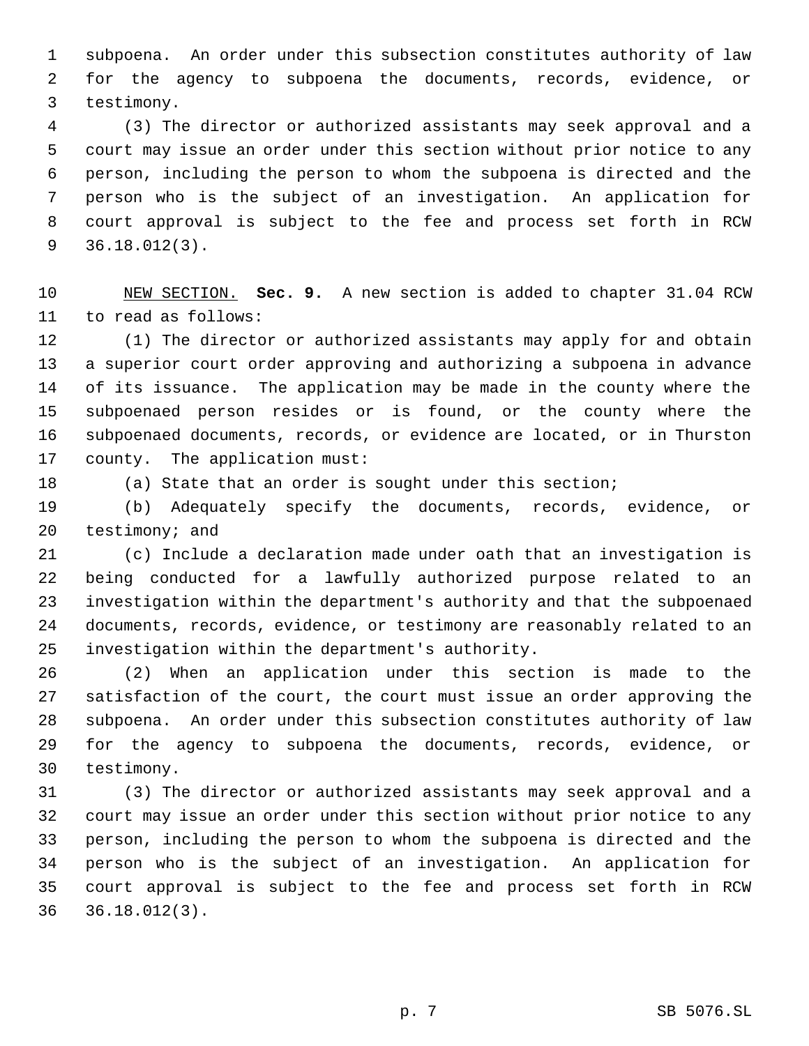subpoena. An order under this subsection constitutes authority of law for the agency to subpoena the documents, records, evidence, or testimony.

 (3) The director or authorized assistants may seek approval and a court may issue an order under this section without prior notice to any person, including the person to whom the subpoena is directed and the person who is the subject of an investigation. An application for court approval is subject to the fee and process set forth in RCW 36.18.012(3).

 NEW SECTION. **Sec. 9.** A new section is added to chapter 31.04 RCW to read as follows:

 (1) The director or authorized assistants may apply for and obtain a superior court order approving and authorizing a subpoena in advance of its issuance. The application may be made in the county where the subpoenaed person resides or is found, or the county where the subpoenaed documents, records, or evidence are located, or in Thurston county. The application must:

(a) State that an order is sought under this section;

 (b) Adequately specify the documents, records, evidence, or testimony; and

 (c) Include a declaration made under oath that an investigation is being conducted for a lawfully authorized purpose related to an investigation within the department's authority and that the subpoenaed documents, records, evidence, or testimony are reasonably related to an investigation within the department's authority.

 (2) When an application under this section is made to the satisfaction of the court, the court must issue an order approving the subpoena. An order under this subsection constitutes authority of law for the agency to subpoena the documents, records, evidence, or testimony.

 (3) The director or authorized assistants may seek approval and a court may issue an order under this section without prior notice to any person, including the person to whom the subpoena is directed and the person who is the subject of an investigation. An application for court approval is subject to the fee and process set forth in RCW 36.18.012(3).